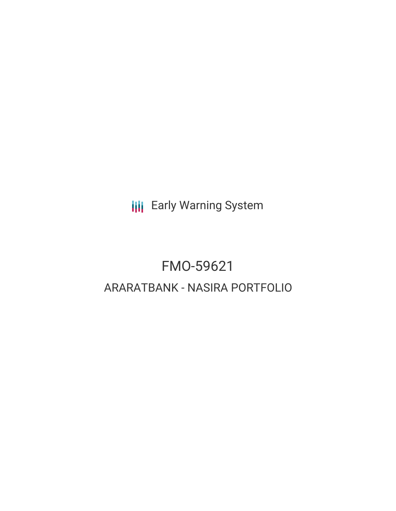**III** Early Warning System

# FMO-59621 ARARATBANK - NASIRA PORTFOLIO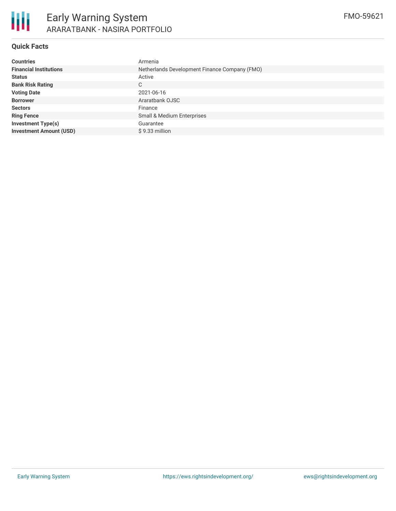

# **Quick Facts**

| <b>Countries</b>               | Armenia                                       |
|--------------------------------|-----------------------------------------------|
| <b>Financial Institutions</b>  | Netherlands Development Finance Company (FMO) |
| <b>Status</b>                  | Active                                        |
| <b>Bank Risk Rating</b>        | C.                                            |
| <b>Voting Date</b>             | 2021-06-16                                    |
| <b>Borrower</b>                | Araratbank OJSC                               |
| <b>Sectors</b>                 | Finance                                       |
| <b>Ring Fence</b>              | Small & Medium Enterprises                    |
| <b>Investment Type(s)</b>      | Guarantee                                     |
| <b>Investment Amount (USD)</b> | $$9.33$ million                               |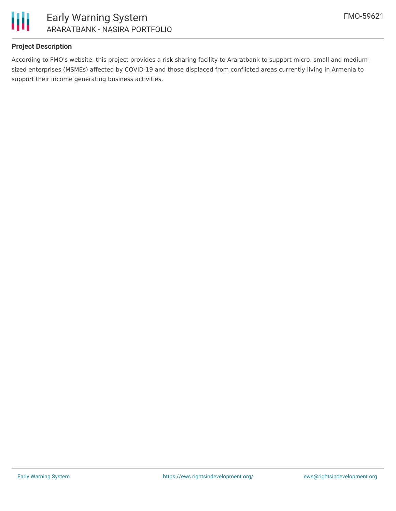

## **Project Description**

According to FMO's website, this project provides a risk sharing facility to Araratbank to support micro, small and mediumsized enterprises (MSMEs) affected by COVID-19 and those displaced from conflicted areas currently living in Armenia to support their income generating business activities.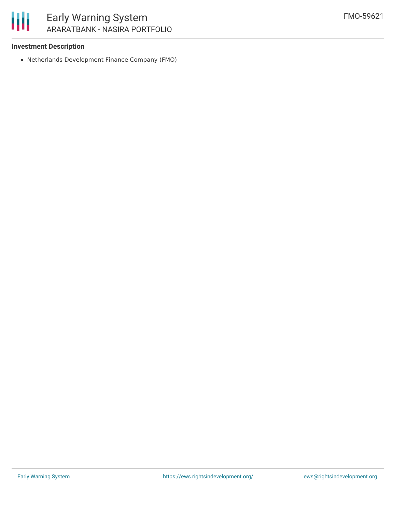## **Investment Description**

Netherlands Development Finance Company (FMO)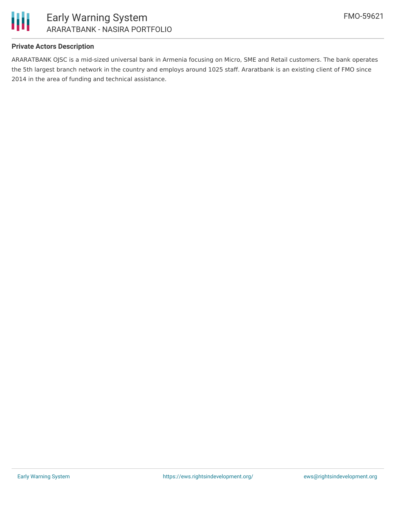

## **Private Actors Description**

ARARATBANK OJSC is a mid-sized universal bank in Armenia focusing on Micro, SME and Retail customers. The bank operates the 5th largest branch network in the country and employs around 1025 staff. Araratbank is an existing client of FMO since 2014 in the area of funding and technical assistance.